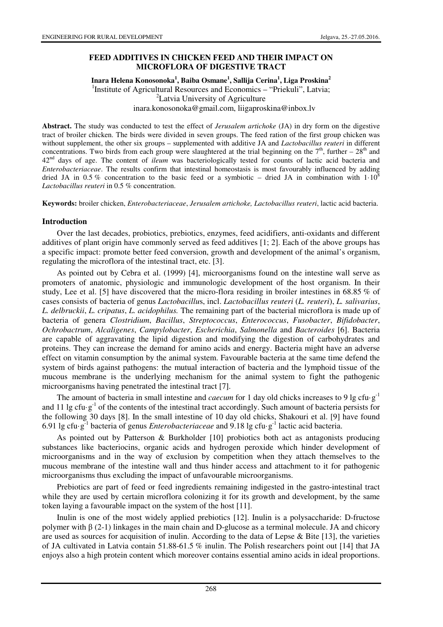# **FEED ADDITIVES IN CHICKEN FEED AND THEIR IMPACT ON MICROFLORA OF DIGESTIVE TRACT**

### **Inara Helena Konosonoka<sup>1</sup> , Baiba Osmane<sup>1</sup> , Sallija Cerina<sup>1</sup> , Liga Proskina<sup>2</sup>** <sup>1</sup>Institute of Agricultural Resources and Economics - "Priekuli", Latvia; <sup>2</sup>Latvia University of Agriculture inara.konosonoka@gmail.com, liigaproskina@inbox.lv

**Abstract.** The study was conducted to test the effect of *Jerusalem artichoke* (JA) in dry form on the digestive tract of broiler chicken. The birds were divided in seven groups. The feed ration of the first group chicken was without supplement, the other six groups – supplemented with additive JA and *Lactobacillus reuteri* in different concentrations. Two birds from each group were slaughtered at the trial beginning on the  $7<sup>th</sup>$ , further –  $28<sup>th</sup>$  and 42nd days of age. The content of *ileum* was bacteriologically tested for counts of lactic acid bacteria and *Enterobacteriaceae*. The results confirm that intestinal homeostasis is most favourably influenced by adding dried JA in 0.5 % concentration to the basic feed or a symbiotic – dried JA in combination with  $1.10^8$ *Lactobacillus reuteri* in 0.5 % concentration.

**Keywords:** broiler chicken, *Enterobacteriaceae*, *Jerusalem artichoke, Lactobacillus reuteri*, lactic acid bacteria.

### **Introduction**

Over the last decades, probiotics, prebiotics, enzymes, feed acidifiers, anti-oxidants and different additives of plant origin have commonly served as feed additives [1; 2]. Each of the above groups has a specific impact: promote better feed conversion, growth and development of the animal's organism, regulating the microflora of the intestinal tract, etc. [3].

As pointed out by Cebra et al. (1999) [4], microorganisms found on the intestine wall serve as promoters of anatomic, physiologic and immunologic development of the host organism. In their study, Lee et al. [5] have discovered that the micro-flora residing in broiler intestines in 68.85 % of cases consists of bacteria of genus *Lactobacillu*s, incl. *Lactobacillus reuteri* (*L. reuteri*), *L. salivarius*, *L. delbruckii*, *L. cripatus*, *L. acidophilus.* The remaining part of the bacterial microflora is made up of bacteria of genera *Clostridium*, *Bacillus*, *Streptococcus*, *Enterococcus*, *Fusobacter*, *Bifidobacter*, *Ochrobactrum*, *Alcaligenes*, *Campylobacter*, *Escherichia*, *Salmonella* and *Bacteroides* [6]. Bacteria are capable of aggravating the lipid digestion and modifying the digestion of carbohydrates and proteins. They can increase the demand for amino acids and energy. Bacteria might have an adverse effect on vitamin consumption by the animal system. Favourable bacteria at the same time defend the system of birds against pathogens: the mutual interaction of bacteria and the lymphoid tissue of the mucous membrane is the underlying mechanism for the animal system to fight the pathogenic microorganisms having penetrated the intestinal tract [7].

The amount of bacteria in small intestine and *caecum* for 1 day old chicks increases to 9 lg cfu·g<sup>-1</sup> and 11 lg cfu·g<sup>-1</sup> of the contents of the intestinal tract accordingly. Such amount of bacteria persists for the following 30 days [8]. In the small intestine of 10 day old chicks, Shakouri et al. [9] have found 6.91 lg cfu·g-1 bacteria of genus *Enterobacteriaceae* and 9.18 lg cfu·g-1 lactic acid bacteria.

As pointed out by Patterson & Burkholder [10] probiotics both act as antagonists producing substances like bacteriocins, organic acids and hydrogen peroxide which hinder development of microorganisms and in the way of exclusion by competition when they attach themselves to the mucous membrane of the intestine wall and thus hinder access and attachment to it for pathogenic microorganisms thus excluding the impact of unfavourable microorganisms.

Prebiotics are part of feed or feed ingredients remaining indigested in the gastro-intestinal tract while they are used by certain microflora colonizing it for its growth and development, by the same token laying a favourable impact on the system of the host [11].

Inulin is one of the most widely applied prebiotics [12]. Inulin is a polysaccharide: D-fructose polymer with  $β$  (2-1) linkages in the main chain and D-glucose as a terminal molecule. JA and chicory are used as sources for acquisition of inulin. According to the data of Lepse  $\&$  Bite [13], the varieties of JA cultivated in Latvia contain 51.88-61.5 % inulin. The Polish researchers point out [14] that JA enjoys also a high protein content which moreover contains essential amino acids in ideal proportions.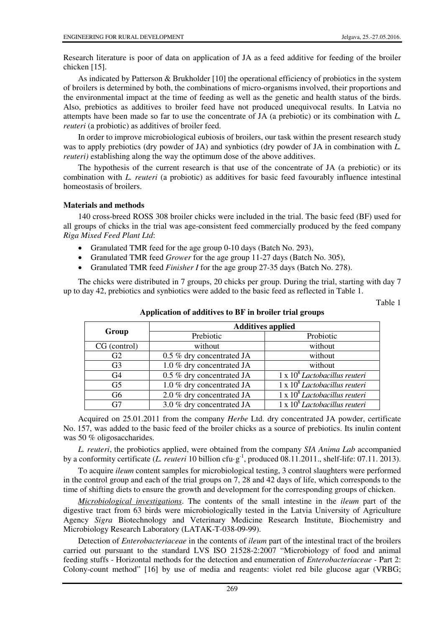Research literature is poor of data on application of JA as a feed additive for feeding of the broiler chicken [15].

As indicated by Patterson & Brukholder [10] the operational efficiency of probiotics in the system of broilers is determined by both, the combinations of micro-organisms involved, their proportions and the environmental impact at the time of feeding as well as the genetic and health status of the birds. Also, prebiotics as additives to broiler feed have not produced unequivocal results. In Latvia no attempts have been made so far to use the concentrate of JA (a prebiotic) or its combination with *L. reuteri* (a probiotic) as additives of broiler feed.

In order to improve microbiological eubiosis of broilers, our task within the present research study was to apply prebiotics (dry powder of JA) and synbiotics (dry powder of JA in combination with *L. reuteri*) establishing along the way the optimum dose of the above additives.

The hypothesis of the current research is that use of the concentrate of JA (a prebiotic) or its combination with *L. reuteri* (a probiotic) as additives for basic feed favourably influence intestinal homeostasis of broilers.

#### **Materials and methods**

140 cross-breed ROSS 308 broiler chicks were included in the trial. The basic feed (BF) used for all groups of chicks in the trial was age-consistent feed commercially produced by the feed company *Riga Mixed Feed Plant Ltd*:

- Granulated TMR feed for the age group 0-10 days (Batch No. 293),
- Granulated TMR feed *Grower* for the age group 11-27 days (Batch No. 305),
- Granulated TMR feed *Finisher I* for the age group 27-35 days (Batch No. 278).

The chicks were distributed in 7 groups, 20 chicks per group. During the trial, starting with day 7 up to day 42, prebiotics and synbiotics were added to the basic feed as reflected in Table 1.

Table 1

|                | <b>Additives applied</b>  |                                                             |  |  |
|----------------|---------------------------|-------------------------------------------------------------|--|--|
| Group          | Prebiotic                 | Probiotic                                                   |  |  |
| CG (control)   | without                   | without                                                     |  |  |
| G <sub>2</sub> | 0.5 % dry concentrated JA | without                                                     |  |  |
| G <sub>3</sub> | 1.0 % dry concentrated JA | without                                                     |  |  |
| G4             | 0.5 % dry concentrated JA | $1 \times 10^8$ Lactobacillus reuteri                       |  |  |
| G <sub>5</sub> | 1.0 % dry concentrated JA | $\overline{1 \times 10^8}$ Lactobacillus reuteri            |  |  |
| G <sub>6</sub> | 2.0 % dry concentrated JA | $1 \times 10^8$ Lactobacillus reuteri                       |  |  |
| G7             | 3.0 % dry concentrated JA | $\frac{1 \times 10^8}{1 \times 10^8}$ Lactobacillus reuteri |  |  |

**Application of additives to BF in broiler trial groups** 

Acquired on 25.01.2011 from the company *Herbe* Ltd. dry concentrated JA powder, certificate No. 157, was added to the basic feed of the broiler chicks as a source of prebiotics. Its inulin content was 50 % oligosaccharides.

*L. reuteri*, the probiotics applied, were obtained from the company *SIA Anima Lab* accompanied by a conformity certificate (*L. reuteri* 10 billion cfu·g<sup>-1</sup>, produced 08.11.2011., shelf-life: 07.11. 2013).

To acquire *ileum* content samples for microbiological testing, 3 control slaughters were performed in the control group and each of the trial groups on 7, 28 and 42 days of life, which corresponds to the time of shifting diets to ensure the growth and development for the corresponding groups of chicken.

*Microbiological investigations*. The contents of the small intestine in the *ileum* part of the digestive tract from 63 birds were microbiologically tested in the Latvia University of Agriculture Agency *Sigra* Biotechnology and Veterinary Medicine Research Institute, Biochemistry and Microbiology Research Laboratory (LATAK-T-038-09-99).

Detection of *Enterobacteriaceae* in the contents of *ileum* part of the intestinal tract of the broilers carried out pursuant to the standard LVS ISO 21528-2:2007 "Microbiology of food and animal feeding stuffs - Horizontal methods for the detection and enumeration of *Enterobacteriaceae -* Part 2: Colony-count method" [16] by use of media and reagents: violet red bile glucose agar (VRBG;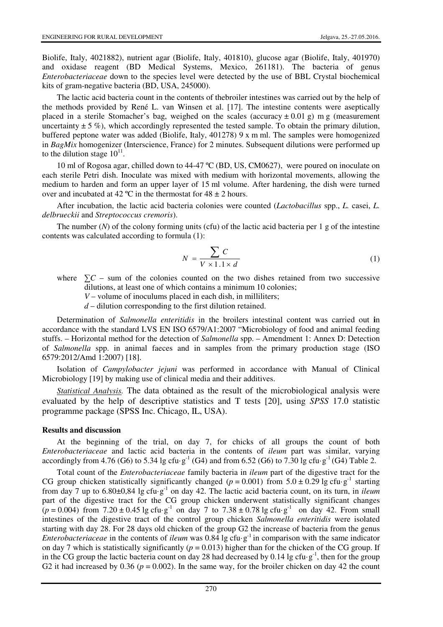Biolife, Italy, 4021882), nutrient agar (Biolife, Italy, 401810), glucose agar (Biolife, Italy, 401970) and oxidase reagent (BD Medical Systems, Mexico, 261181). The bacteria of genus *Enterobacteriaceae* down to the species level were detected by the use of BBL Crystal biochemical kits of gram-negative bacteria (BD, USA, 245000).

The lactic acid bacteria count in the contents of thebroiler intestines was carried out by the help of the methods provided by René L. van Winsen et al. [17]. The intestine contents were aseptically placed in a sterile Stomacher's bag, weighed on the scales (accuracy  $\pm$  0.01 g) m g (measurement uncertainty  $\pm$  5 %), which accordingly represented the tested sample. To obtain the primary dilution, buffered peptone water was added (Biolife, Italy, 401278) 9 x m ml. The samples were homogenized in *BagMix* homogenizer (Interscience, France) for 2 minutes. Subsequent dilutions were performed up to the dilution stage  $10^{11}$ .

10 ml of Rogosa agar, chilled down to 44-47 ºC (BD, US, CM0627), were poured on inoculate on each sterile Petri dish. Inoculate was mixed with medium with horizontal movements, allowing the medium to harden and form an upper layer of 15 ml volume. After hardening, the dish were turned over and incubated at 42 °C in the thermostat for  $48 \pm 2$  hours.

After incubation, the lactic acid bacteria colonies were counted (*Lactobacillus* spp., *L.* casei, *L. delbrueckii* and *Streptococcus cremoris*).

The number (*N*) of the colony forming units (cfu) of the lactic acid bacteria per 1 g of the intestine contents was calculated according to formula (1):

$$
N = \frac{\sum C}{V \times 1.1 \times d}
$$
 (1)

where  $\sum C$  – sum of the colonies counted on the two dishes retained from two successive dilutions, at least one of which contains a minimum 10 colonies;

*V* – volume of inoculums placed in each dish, in milliliters;

*d* – dilution corresponding to the first dilution retained.

Determination of *Salmonella enteritidis* in the broilers intestinal content was carried out **i**n accordance with the standard LVS EN ISO 6579/A1:2007 "Microbiology of food and animal feeding stuffs. – Horizontal method for the detection of *Salmonella* spp. – Amendment 1: Annex D: Detection of *Salmonella* spp. in animal faeces and in samples from the primary production stage (ISO 6579:2012/Amd 1:2007) [18].

Isolation of *Campylobacter jejuni* was performed in accordance with Manual of Clinical Microbiology [19] by making use of clinical media and their additives.

*Statistical Analysis.* The data obtained as the result of the microbiological analysis were evaluated by the help of descriptive statistics and T tests [20], using *SPSS* 17.0 statistic programme package (SPSS Inc. Chicago, IL, USA).

#### **Results and discussion**

At the beginning of the trial, on day 7, for chicks of all groups the count of both *Enterobacteriaceae* and lactic acid bacteria in the contents of *ileum* part was similar, varying accordingly from 4.76 (G6) to 5.34 lg cfu·g<sup>-1</sup> (G4) and from 6.52 (G6) to 7.30 lg cfu·g<sup>-1</sup> (G4) Table 2.

Total count of the *Enterobacteriaceae* family bacteria in *ileum* part of the digestive tract for the CG group chicken statistically significantly changed ( $p = 0.001$ ) from 5.0  $\pm$  0.29 lg cfu·g<sup>-1</sup> starting from day 7 up to 6.80±0,84 lg cfu·g-1 on day 42. The lactic acid bacteria count, on its turn, in *ileum* part of the digestive tract for the CG group chicken underwent statistically significant changes  $(p = 0.004)$  from 7.20 ± 0.45 lg cfu·g<sup>-1</sup> on day 7 to 7.38 ± 0.78 lg cfu·g<sup>-1</sup> on day 42. From small intestines of the digestive tract of the control group chicken *Salmonella enteritidis* were isolated starting with day 28. For 28 days old chicken of the group G2 the increase of bacteria from the genus *Enterobacteriaceae* in the contents of *ileum* was 0.84 lg cfu·g<sup>-1</sup> in comparison with the same indicator on day 7 which is statistically significantly ( $p = 0.013$ ) higher than for the chicken of the CG group. If in the CG group the lactic bacteria count on day 28 had decreased by 0.14 lg cfu·g<sup>-1</sup>, then for the group G2 it had increased by  $0.36$  ( $p = 0.002$ ). In the same way, for the broiler chicken on day 42 the count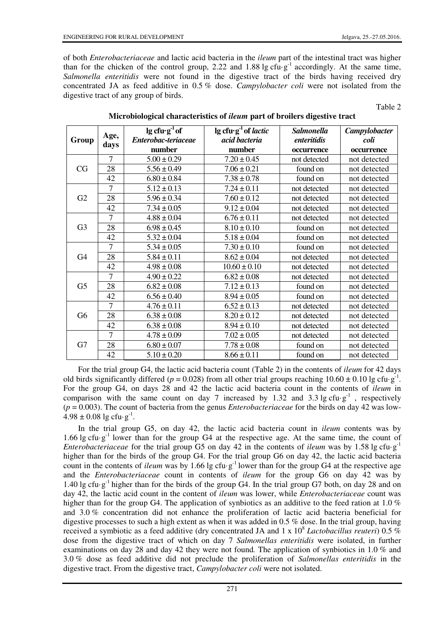of both *Enterobacteriaceae* and lactic acid bacteria in the *ileum* part of the intestinal tract was higher than for the chicken of the control group, 2.22 and 1.88 lg cfu·g<sup>-1</sup> accordingly. At the same time, *Salmonella enteritidis* were not found in the digestive tract of the birds having received dry concentrated JA as feed additive in 0.5 % dose. *Campylobacter coli* were not isolated from the digestive tract of any group of birds.

Table 2

| Group          | Age,<br>days   | $lg c f u \cdot g^{-1}$ of | lg cfu·g <sup>-1</sup> of <i>lactic</i> | <b>Salmonella</b> | Campylobacter |
|----------------|----------------|----------------------------|-----------------------------------------|-------------------|---------------|
|                |                | Enterobac-teriaceae        | acid bacteria                           | enteritidis       | coli          |
|                |                | number                     | number                                  | occurrence        | occurrence    |
| CG             | $\overline{7}$ | $5.00 \pm 0.29$            | $7.20 \pm 0.45$                         | not detected      | not detected  |
|                | 28             | $5.56 \pm 0.49$            | $7.06 \pm 0.21$                         | found on          | not detected  |
|                | 42             | $6.80 \pm 0.84$            | $7.38 \pm 0.78$                         | found on          | not detected  |
| G2             | $\overline{7}$ | $5.12 \pm 0.13$            | $7.24 \pm 0.11$                         | not detected      | not detected  |
|                | 28             | $5.96 \pm 0.34$            | $7.60 \pm 0.12$                         | not detected      | not detected  |
|                | 42             | $7.34 \pm 0.05$            | $9.12 \pm 0.04$                         | not detected      | not detected  |
| G <sub>3</sub> | 7              | $4.88 \pm 0.04$            | $6.76 \pm 0.11$                         | not detected      | not detected  |
|                | 28             | $6.98 \pm 0.45$            | $8.10 \pm 0.10$                         | found on          | not detected  |
|                | 42             | $5.32 \pm 0.04$            | $5.18 \pm 0.04$                         | found on          | not detected  |
| G <sub>4</sub> | 7              | $5.34 \pm 0.05$            | $7.30 \pm 0.10$                         | found on          | not detected  |
|                | 28             | $5.84 \pm 0.11$            | $8.62 \pm 0.04$                         | not detected      | not detected  |
|                | 42             | $4.98 \pm 0.08$            | $10.60 \pm 0.10$                        | not detected      | not detected  |
| G <sub>5</sub> | $\overline{7}$ | $4.90 \pm 0.22$            | $6.82 \pm 0.08$                         | not detected      | not detected  |
|                | 28             | $6.82 \pm 0.08$            | $7.12 \pm 0.13$                         | found on          | not detected  |
|                | 42             | $6.56 \pm 0.40$            | $8.94 \pm 0.05$                         | found on          | not detected  |
| G <sub>6</sub> | 7              | $4.76 \pm 0.11$            | $6.52 \pm 0.13$                         | not detected      | not detected  |
|                | 28             | $6.38 \pm 0.08$            | $8.20 \pm 0.12$                         | not detected      | not detected  |
|                | 42             | $6.38 \pm 0.08$            | $8.94 \pm 0.10$                         | not detected      | not detected  |
| G7             | 7              | $4.78 \pm 0.09$            | $7.02 \pm 0.05$                         | not detected      | not detected  |
|                | 28             | $6.80 \pm 0.07$            | $7.78 \pm 0.08$                         | found on          | not detected  |
|                | 42             | $5.10 \pm 0.20$            | $8.66 \pm 0.11$                         | found on          | not detected  |

## **Microbiological characteristics of** *ileum* **part of broilers digestive tract**

For the trial group G4, the lactic acid bacteria count (Table 2) in the contents of *ileum* for 42 days old birds significantly differed ( $p = 0.028$ ) from all other trial groups reaching  $10.60 \pm 0.10$  lg cfu·g<sup>-1</sup>. For the group G4, on days 28 and 42 the lactic acid bacteria count in the contents of *ileum* in comparison with the same count on day 7 increased by 1.32 and 3.3 lg cfu·g<sup>-1</sup>, respectively (*p* = 0.003). The count of bacteria from the genus *Enterobacteriaceae* for the birds on day 42 was low- $4.98 \pm 0.08$  lg cfu·g<sup>-1</sup>.

In the trial group G5, on day 42, the lactic acid bacteria count in *ileum* contents was by 1.66 lg cfu·g<sup>-1</sup> lower than for the group G4 at the respective age. At the same time, the count of *Enterobacteriaceae* for the trial group G5 on day 42 in the contents of *ileum* was by 1.58 lg cfu·g<sup>-1</sup> higher than for the birds of the group G4. For the trial group G6 on day 42, the lactic acid bacteria count in the contents of *ileum* was by 1.66 lg cfu·g<sup>-1</sup> lower than for the group G4 at the respective age and the *Enterobacteriaceae* count in contents of *ileum* for the group G6 on day 42 was by 1.40 lg cfu·g<sup>-1</sup> higher than for the birds of the group G4. In the trial group G7 both, on day 28 and on day 42, the lactic acid count in the content of *ileum* was lower, while *Enterobacteriaceae* count was higher than for the group G4. The application of synbiotics as an additive to the feed ration at 1.0 % and 3.0 % concentration did not enhance the proliferation of lactic acid bacteria beneficial for digestive processes to such a high extent as when it was added in 0.5 % dose. In the trial group, having received a symbiotic as a feed additive (dry concentrated JA and 1 x  $10^8$  *Lactobacillus reuteri*) 0.5  $\%$ dose from the digestive tract of which on day 7 *Salmonellas enteritidis* were isolated, in further examinations on day 28 and day 42 they were not found*.* The application of synbiotics in 1.0 % and 3.0 % dose as feed additive did not preclude the proliferation of *Salmonellas enteritidis* in the digestive tract. From the digestive tract, *Campylobacter coli* were not isolated.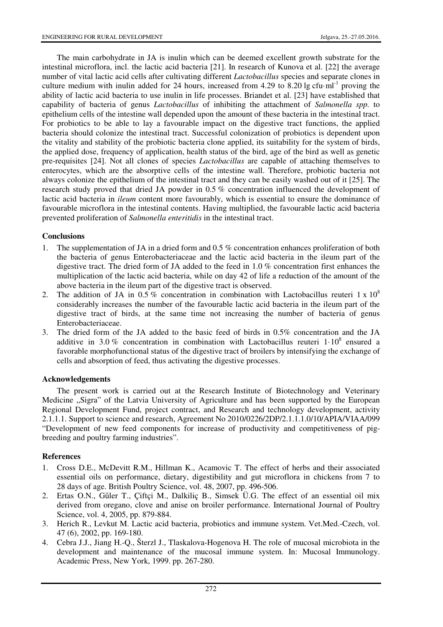The main carbohydrate in JA is inulin which can be deemed excellent growth substrate for the intestinal microflora, incl. the lactic acid bacteria [21]. In research of Kunova et al. [22] the average number of vital lactic acid cells after cultivating different *Lactobacillus* species and separate clones in culture medium with inulin added for 24 hours, increased from 4.29 to 8.20 lg cfu $\cdot$ ml<sup>-1</sup> proving the ability of lactic acid bacteria to use inulin in life processes. Briandet et al. [23] have established that capability of bacteria of genus *Lactobacillus* of inhibiting the attachment of *Salmonella spp.* to epithelium cells of the intestine wall depended upon the amount of these bacteria in the intestinal tract. For probiotics to be able to lay a favourable impact on the digestive tract functions, the applied bacteria should colonize the intestinal tract. Successful colonization of probiotics is dependent upon the vitality and stability of the probiotic bacteria clone applied, its suitability for the system of birds, the applied dose, frequency of application, health status of the bird, age of the bird as well as genetic pre-requisites [24]. Not all clones of species *Lactobacillus* are capable of attaching themselves to enterocytes, which are the absorptive cells of the intestine wall. Therefore, probiotic bacteria not always colonize the epithelium of the intestinal tract and they can be easily washed out of it [25]. The research study proved that dried JA powder in 0.5 % concentration influenced the development of lactic acid bacteria in *ileum* content more favourably, which is essential to ensure the dominance of favourable microflora in the intestinal contents. Having multiplied, the favourable lactic acid bacteria prevented proliferation of *Salmonella enteritidis* in the intestinal tract.

# **Conclusions**

- 1. The supplementation of JA in a dried form and 0.5 % concentration enhances proliferation of both the bacteria of genus Enterobacteriaceae and the lactic acid bacteria in the ileum part of the digestive tract. The dried form of JA added to the feed in 1.0 % concentration first enhances the multiplication of the lactic acid bacteria, while on day 42 of life a reduction of the amount of the above bacteria in the ileum part of the digestive tract is observed.
- 2. The addition of JA in 0.5 % concentration in combination with Lactobacillus reuteri 1 x  $10^8$ considerably increases the number of the favourable lactic acid bacteria in the ileum part of the digestive tract of birds, at the same time not increasing the number of bacteria of genus Enterobacteriaceae.
- 3. The dried form of the JA added to the basic feed of birds in 0.5% concentration and the JA additive in 3.0% concentration in combination with Lactobacillus reuteri  $1 \cdot 10^8$  ensured a favorable morphofunctional status of the digestive tract of broilers by intensifying the exchange of cells and absorption of feed, thus activating the digestive processes.

## **Acknowledgements**

The present work is carried out at the Research Institute of Biotechnology and Veterinary Medicine "Sigra" of the Latvia University of Agriculture and has been supported by the European Regional Development Fund, project contract, and Research and technology development, activity 2.1.1.1. Support to science and research, Agreement No 2010/0226/2DP/2.1.1.1.0/10/APIA/VIAA/099 "Development of new feed components for increase of productivity and competitiveness of pigbreeding and poultry farming industries".

## **References**

- 1. Cross D.E., McDevitt R.M., Hillman K., Acamovic T. The effect of herbs and their associated essential oils on performance, dietary, digestibility and gut microflora in chickens from 7 to 28 days of age. British Poultry Science, vol. 48, 2007, pp. 496-506.
- 2. Ertas O.N., Gűler T., Çiftçi M., Dalkiliç B., Simsek Ü.G. The effect of an essential oil mix derived from oregano, clove and anise on broiler performance. International Journal of Poultry Science, vol. 4, 2005, pp. 879-884.
- 3. Herich R., Levkut M. Lactic acid bacteria, probiotics and immune system. Vet.Med.-Czech, vol. 47 (6), 2002, pp. 169-180.
- 4. Cebra J.J., Jiang H.-Q., Šterzl J., Tlaskalova-Hogenova H. The role of mucosal microbiota in the development and maintenance of the mucosal immune system. In: Mucosal Immunology. Academic Press, New York, 1999. pp. 267-280.